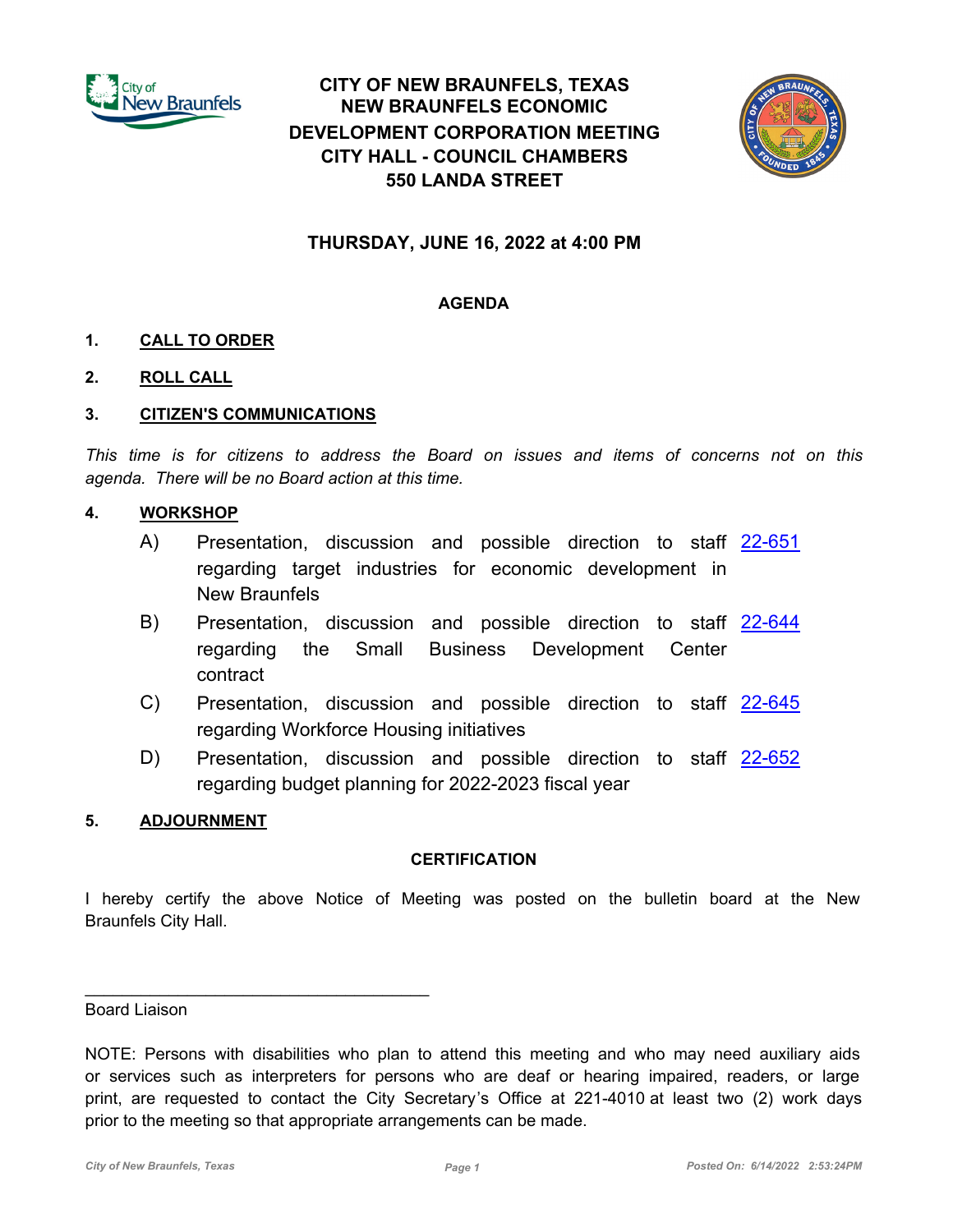

# **CITY OF NEW BRAUNFELS, TEXAS NEW BRAUNFELS ECONOMIC DEVELOPMENT CORPORATION MEETING CITY HALL - COUNCIL CHAMBERS 550 LANDA STREET**



# **THURSDAY, JUNE 16, 2022 at 4:00 PM**

# **AGENDA**

# **1. CALL TO ORDER**

**2. ROLL CALL**

#### **3. CITIZEN'S COMMUNICATIONS**

*This time is for citizens to address the Board on issues and items of concerns not on this agenda. There will be no Board action at this time.*

#### **4. WORKSHOP**

- A) Presentation, discussion and possible direction to staff [22-651](http://newbraunfels.legistar.com/gateway.aspx?m=l&id=/matter.aspx?key=10665) regarding target industries for economic development in New Braunfels
- B) Presentation, discussion and possible direction to staff [22-644](http://newbraunfels.legistar.com/gateway.aspx?m=l&id=/matter.aspx?key=10658) regarding the Small Business Development Center contract
- C) Presentation, discussion and possible direction to staff [22-645](http://newbraunfels.legistar.com/gateway.aspx?m=l&id=/matter.aspx?key=10659) regarding Workforce Housing initiatives
- D) Presentation, discussion and possible direction to staff [22-652](http://newbraunfels.legistar.com/gateway.aspx?m=l&id=/matter.aspx?key=10666) regarding budget planning for 2022-2023 fiscal year

# **5. ADJOURNMENT**

 $\mathcal{L}_\text{max}$  and  $\mathcal{L}_\text{max}$  and  $\mathcal{L}_\text{max}$  and  $\mathcal{L}_\text{max}$ 

#### **CERTIFICATION**

I hereby certify the above Notice of Meeting was posted on the bulletin board at the New Braunfels City Hall.

Board Liaison

NOTE: Persons with disabilities who plan to attend this meeting and who may need auxiliary aids or services such as interpreters for persons who are deaf or hearing impaired, readers, or large print, are requested to contact the City Secretary's Office at 221-4010 at least two (2) work days prior to the meeting so that appropriate arrangements can be made.